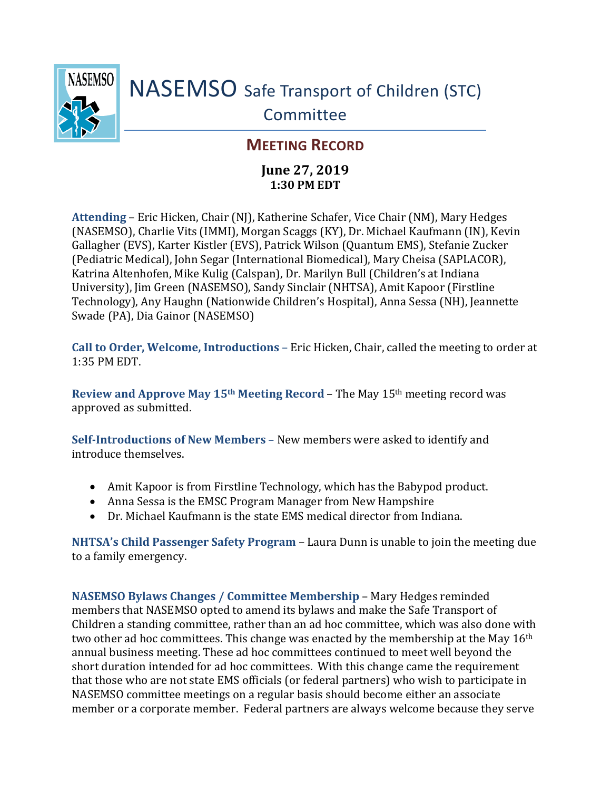

## NASEMSO Safe Transport of Children (STC) Committee

## **MEETING RECORD**

## **June 27, 2019 1:30 PM EDT**

**Attending** – Eric Hicken, Chair (NJ), Katherine Schafer, Vice Chair (NM), Mary Hedges (NASEMSO), Charlie Vits (IMMI), Morgan Scaggs (KY), Dr. Michael Kaufmann (IN), Kevin Gallagher (EVS), Karter Kistler (EVS), Patrick Wilson (Quantum EMS), Stefanie Zucker (Pediatric Medical), John Segar (International Biomedical), Mary Cheisa (SAPLACOR), Katrina Altenhofen, Mike Kulig (Calspan), Dr. Marilyn Bull (Children's at Indiana University), Jim Green (NASEMSO), Sandy Sinclair (NHTSA), Amit Kapoor (Firstline Technology), Any Haughn (Nationwide Children's Hospital), Anna Sessa (NH), Jeannette Swade (PA), Dia Gainor (NASEMSO)

**Call to Order, Welcome, Introductions** – Eric Hicken, Chair, called the meeting to order at 1:35 PM EDT.

**Review and Approve May 15th Meeting Record** – The May 15th meeting record was approved as submitted.

**Self-Introductions of New Members** – New members were asked to identify and introduce themselves.

- Amit Kapoor is from Firstline Technology, which has the Babypod product.
- Anna Sessa is the EMSC Program Manager from New Hampshire
- Dr. Michael Kaufmann is the state EMS medical director from Indiana.

**NHTSA's Child Passenger Safety Program** – Laura Dunn is unable to join the meeting due to a family emergency.

**NASEMSO Bylaws Changes / Committee Membership** – Mary Hedges reminded members that NASEMSO opted to amend its bylaws and make the Safe Transport of Children a standing committee, rather than an ad hoc committee, which was also done with two other ad hoc committees. This change was enacted by the membership at the May 16<sup>th</sup> annual business meeting. These ad hoc committees continued to meet well beyond the short duration intended for ad hoc committees. With this change came the requirement that those who are not state EMS officials (or federal partners) who wish to participate in NASEMSO committee meetings on a regular basis should become either an associate member or a corporate member. Federal partners are always welcome because they serve